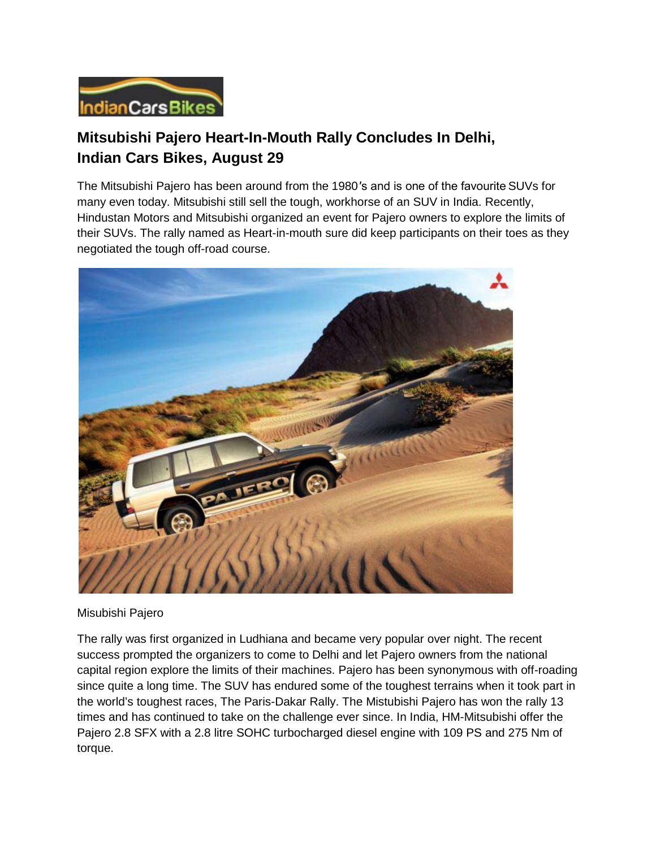

## **Mitsubishi Pajero Heart-In-Mouth Rally Concludes In Delhi, Indian Cars Bikes, August 29**

The Mitsubishi Pajero has been around from the 1980′s and is one of the favourite SUVs for many even today. Mitsubishi still sell the tough, workhorse of an SUV in India. Recently, Hindustan Motors and Mitsubishi organized an event for Pajero owners to explore the limits of their SUVs. The rally named as Heart-in-mouth sure did keep participants on their toes as they negotiated the tough off-road course.



Misubishi Pajero

The rally was first organized in Ludhiana and became very popular over night. The recent success prompted the organizers to come to Delhi and let Pajero owners from the national capital region explore the limits of their machines. Pajero has been synonymous with off-roading since quite a long time. The SUV has endured some of the toughest terrains when it took part in the world's toughest races, The Paris-Dakar Rally. The Mistubishi Pajero has won the rally 13 times and has continued to take on the challenge ever since. In India, HM-Mitsubishi offer the Pajero 2.8 SFX with a 2.8 litre SOHC turbocharged diesel engine with 109 PS and 275 Nm of torque.